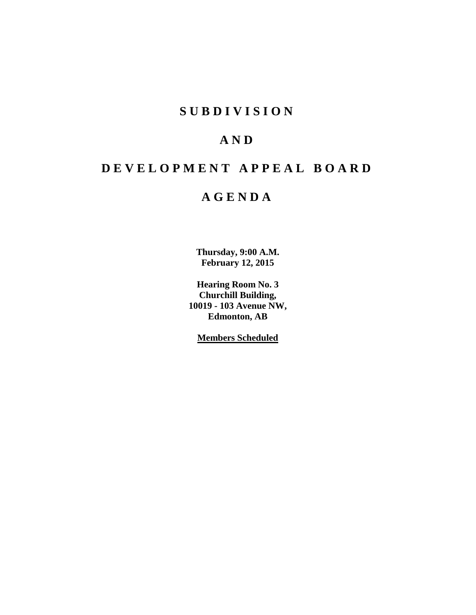# **S U B D I V I S I O N**

# **A N D**

# **D E V E L O P M E N T A P P E A L B O A R D**

# **A G E N D A**

**Thursday, 9:00 A.M. February 12, 2015**

**Hearing Room No. 3 Churchill Building, 10019 - 103 Avenue NW, Edmonton, AB**

**Members Scheduled**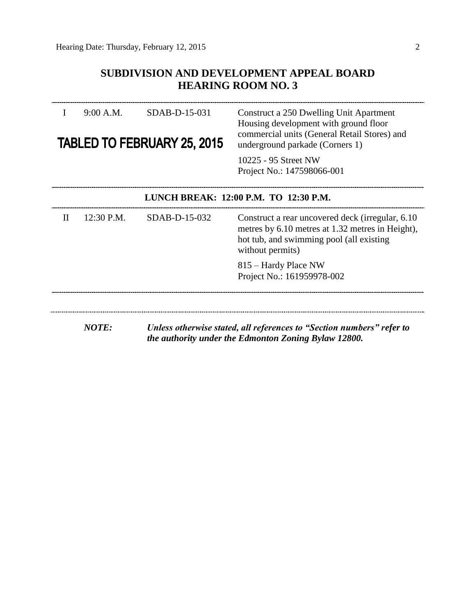## **SUBDIVISION AND DEVELOPMENT APPEAL BOARD HEARING ROOM NO. 3**

|   | 9:00 A.M.                             | SDAB-D-15-031<br><b>TABLED TO FEBRUARY 25, 2015</b> | Construct a 250 Dwelling Unit Apartment<br>Housing development with ground floor<br>commercial units (General Retail Stores) and<br>underground parkade (Corners 1)<br>10225 - 95 Street NW<br>Project No.: 147598066-001 |  |  |  |
|---|---------------------------------------|-----------------------------------------------------|---------------------------------------------------------------------------------------------------------------------------------------------------------------------------------------------------------------------------|--|--|--|
|   | LUNCH BREAK: 12:00 P.M. TO 12:30 P.M. |                                                     |                                                                                                                                                                                                                           |  |  |  |
| H | 12:30 P.M.                            | SDAB-D-15-032                                       | Construct a rear uncovered deck (irregular, 6.10)<br>metres by 6.10 metres at 1.32 metres in Height),<br>hot tub, and swimming pool (all existing<br>without permits)                                                     |  |  |  |
|   |                                       |                                                     | 815 – Hardy Place NW<br>Project No.: 161959978-002                                                                                                                                                                        |  |  |  |
|   | <b>NOTE:</b>                          |                                                     | Unless otherwise stated, all references to "Section numbers" refer to                                                                                                                                                     |  |  |  |
|   |                                       |                                                     | the authority under the Edmonton Zoning Bylaw 12800.                                                                                                                                                                      |  |  |  |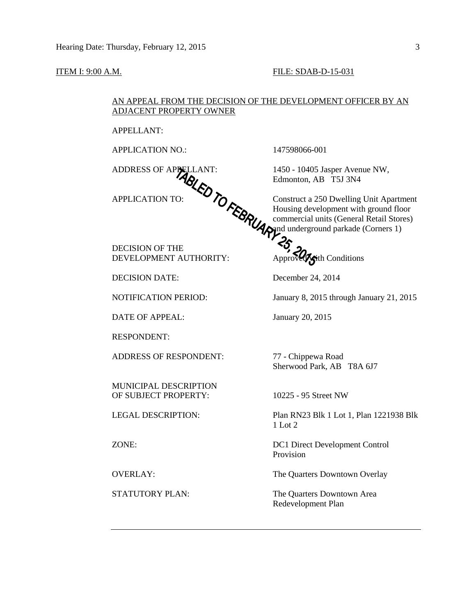#### **ITEM I: 9:00 A.M. FILE: SDAB-D-15-031**

### AN APPEAL FROM THE DECISION OF THE DEVELOPMENT OFFICER BY AN ADJACENT PROPERTY OWNER

APPELLANT:

APPLICATION NO.: 147598066-001

DECISION OF THE DEVELOPMENT AUTHORITY: Approved Approved Approved Approved with Conditions

DECISION DATE: December 24, 2014

DATE OF APPEAL: January 20, 2015

RESPONDENT:

ADDRESS OF RESPONDENT: 77 - Chippewa Road

MUNICIPAL DESCRIPTION OF SUBJECT PROPERTY: 10225 - 95 Street NW

ADDRESS OF APPELLANT: 1450 - 10405 Jasper Avenue NW, Edmonton, AB T5J 3N4

APPLICATION TO:  $\bullet$   $\bullet$   $\bullet$  Construct a 250 Dwelling Unit Apartment Housing development with ground floor commercial units (General Retail Stores) and underground parkade (Corners 1)

NOTIFICATION PERIOD: January 8, 2015 through January 21, 2015

Sherwood Park, AB T8A 6J7

LEGAL DESCRIPTION: Plan RN23 Blk 1 Lot 1, Plan 1221938 Blk 1 Lot 2

ZONE: DC1 Direct Development Control Provision

OVERLAY: The Quarters Downtown Overlay

STATUTORY PLAN: The Quarters Downtown Area Redevelopment Plan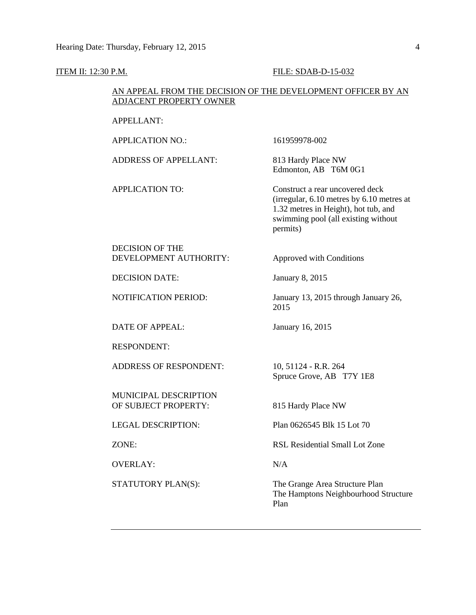#### **ITEM II: 12:30 P.M. FILE: SDAB-D-15-032**

#### AN APPEAL FROM THE DECISION OF THE DEVELOPMENT OFFICER BY AN ADJACENT PROPERTY OWNER

APPELLANT:

APPLICATION NO.: 161959978-002

ADDRESS OF APPELLANT: 813 Hardy Place NW

Edmonton, AB T6M 0G1

APPLICATION TO: Construct a rear uncovered deck (irregular, 6.10 metres by 6.10 metres at 1.32 metres in Height), hot tub, and swimming pool (all existing without permits)

DECISION OF THE DEVELOPMENT AUTHORITY: Approved with Conditions

DECISION DATE: January 8, 2015

DATE OF APPEAL: January 16, 2015

RESPONDENT:

ADDRESS OF RESPONDENT: 10, 51124 - R.R. 264

MUNICIPAL DESCRIPTION OF SUBJECT PROPERTY: 815 Hardy Place NW

OVERLAY: N/A

NOTIFICATION PERIOD: January 13, 2015 through January 26, 2015

Spruce Grove, AB T7Y 1E8

LEGAL DESCRIPTION: Plan 0626545 Blk 15 Lot 70

ZONE: RSL Residential Small Lot Zone

STATUTORY PLAN(S): The Grange Area Structure Plan The Hamptons Neighbourhood Structure Plan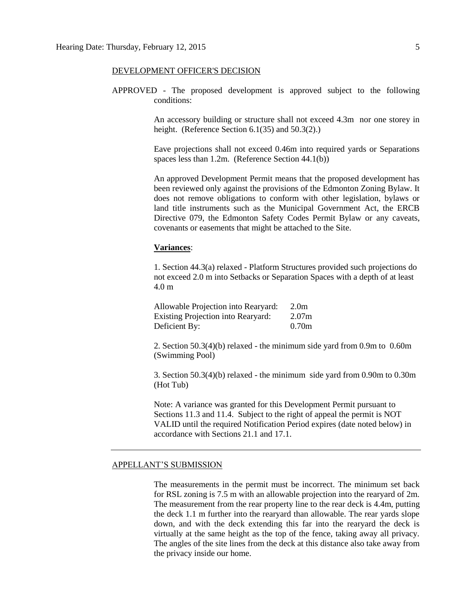#### DEVELOPMENT OFFICER'S DECISION

APPROVED - The proposed development is approved subject to the following conditions:

> An accessory building or structure shall not exceed 4.3m nor one storey in height. (Reference Section 6.1(35) and 50.3(2).)

> Eave projections shall not exceed 0.46m into required yards or Separations spaces less than 1.2m. (Reference Section 44.1(b))

> An approved Development Permit means that the proposed development has been reviewed only against the provisions of the Edmonton Zoning Bylaw. It does not remove obligations to conform with other legislation, bylaws or land title instruments such as the Municipal Government Act, the ERCB Directive 079, the Edmonton Safety Codes Permit Bylaw or any caveats, covenants or easements that might be attached to the Site.

#### **Variances**:

1. Section 44.3(a) relaxed - Platform Structures provided such projections do not exceed 2.0 m into Setbacks or Separation Spaces with a depth of at least 4.0 m

Allowable Projection into Rearyard: 2.0m Existing Projection into Rearyard: 2.07m Deficient By: 0.70m

2. Section 50.3(4)(b) relaxed - the minimum side yard from 0.9m to 0.60m (Swimming Pool)

3. Section 50.3(4)(b) relaxed - the minimum side yard from 0.90m to 0.30m (Hot Tub)

Note: A variance was granted for this Development Permit pursuant to Sections 11.3 and 11.4. Subject to the right of appeal the permit is NOT VALID until the required Notification Period expires (date noted below) in accordance with Sections 21.1 and 17.1.

#### APPELLANT'S SUBMISSION

The measurements in the permit must be incorrect. The minimum set back for RSL zoning is 7.5 m with an allowable projection into the rearyard of 2m. The measurement from the rear property line to the rear deck is 4.4m, putting the deck 1.1 m further into the rearyard than allowable. The rear yards slope down, and with the deck extending this far into the rearyard the deck is virtually at the same height as the top of the fence, taking away all privacy. The angles of the site lines from the deck at this distance also take away from the privacy inside our home.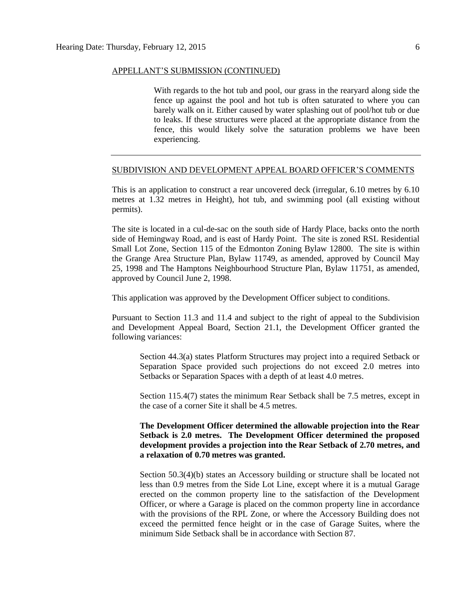#### APPELLANT'S SUBMISSION (CONTINUED)

With regards to the hot tub and pool, our grass in the rearyard along side the fence up against the pool and hot tub is often saturated to where you can barely walk on it. Either caused by water splashing out of pool/hot tub or due to leaks. If these structures were placed at the appropriate distance from the fence, this would likely solve the saturation problems we have been experiencing.

#### SUBDIVISION AND DEVELOPMENT APPEAL BOARD OFFICER'S COMMENTS

This is an application to construct a rear uncovered deck (irregular, 6.10 metres by 6.10 metres at 1.32 metres in Height), hot tub, and swimming pool (all existing without permits).

The site is located in a cul-de-sac on the south side of Hardy Place, backs onto the north side of Hemingway Road, and is east of Hardy Point. The site is zoned RSL Residential Small Lot Zone, Section 115 of the Edmonton Zoning Bylaw 12800. The site is within the Grange Area Structure Plan, Bylaw 11749, as amended, approved by Council May 25, 1998 and The Hamptons Neighbourhood Structure Plan, Bylaw 11751, as amended, approved by Council June 2, 1998.

This application was approved by the Development Officer subject to conditions.

Pursuant to Section 11.3 and 11.4 and subject to the right of appeal to the Subdivision and Development Appeal Board, Section 21.1, the Development Officer granted the following variances:

Section 44.3(a) states Platform Structures may project into a required Setback or Separation Space provided such projections do not exceed 2.0 metres into Setbacks or Separation Spaces with a depth of at least 4.0 metres.

Section 115.4(7) states the minimum Rear Setback shall be 7.5 metres, except in the case of a corner Site it shall be 4.5 metres.

**The Development Officer determined the allowable projection into the Rear Setback is 2.0 metres. The Development Officer determined the proposed development provides a projection into the Rear Setback of 2.70 metres, and a relaxation of 0.70 metres was granted.**

Section 50.3(4)(b) states an Accessory building or structure shall be located not less than 0.9 metres from the Side Lot Line, except where it is a mutual Garage erected on the common property line to the satisfaction of the Development Officer, or where a Garage is placed on the common property line in accordance with the provisions of the RPL Zone, or where the Accessory Building does not exceed the permitted fence height or in the case of Garage Suites, where the minimum Side Setback shall be in accordance with Section 87.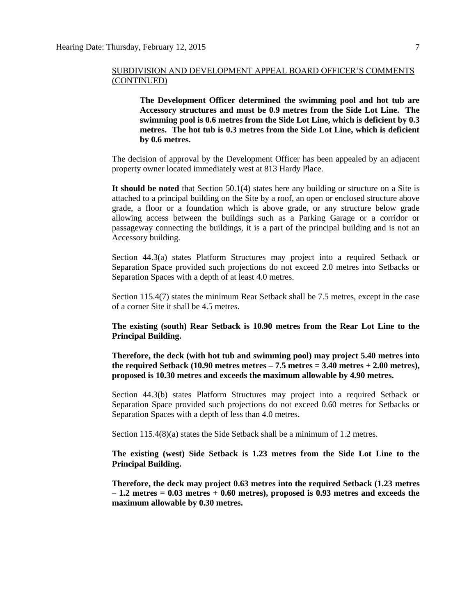#### SUBDIVISION AND DEVELOPMENT APPEAL BOARD OFFICER'S COMMENTS (CONTINUED)

**The Development Officer determined the swimming pool and hot tub are Accessory structures and must be 0.9 metres from the Side Lot Line. The swimming pool is 0.6 metres from the Side Lot Line, which is deficient by 0.3 metres. The hot tub is 0.3 metres from the Side Lot Line, which is deficient by 0.6 metres.**

The decision of approval by the Development Officer has been appealed by an adjacent property owner located immediately west at 813 Hardy Place.

**It should be noted** that Section 50.1(4) states here any building or structure on a Site is attached to a principal building on the Site by a roof, an open or enclosed structure above grade, a floor or a foundation which is above grade, or any structure below grade allowing access between the buildings such as a Parking Garage or a corridor or passageway connecting the buildings, it is a part of the principal building and is not an Accessory building.

Section 44.3(a) states Platform Structures may project into a required Setback or Separation Space provided such projections do not exceed 2.0 metres into Setbacks or Separation Spaces with a depth of at least 4.0 metres.

Section 115.4(7) states the minimum Rear Setback shall be 7.5 metres, except in the case of a corner Site it shall be 4.5 metres.

**The existing (south) Rear Setback is 10.90 metres from the Rear Lot Line to the Principal Building.**

**Therefore, the deck (with hot tub and swimming pool) may project 5.40 metres into the required Setback (10.90 metres metres – 7.5 metres = 3.40 metres + 2.00 metres), proposed is 10.30 metres and exceeds the maximum allowable by 4.90 metres.**

Section 44.3(b) states Platform Structures may project into a required Setback or Separation Space provided such projections do not exceed 0.60 metres for Setbacks or Separation Spaces with a depth of less than 4.0 metres.

Section 115.4(8)(a) states the Side Setback shall be a minimum of [1.2](javascript:void(0);) metres.

**The existing (west) Side Setback is 1.23 metres from the Side Lot Line to the Principal Building.**

**Therefore, the deck may project 0.63 metres into the required Setback (1.23 metres – 1.2 metres = 0.03 metres + 0.60 metres), proposed is 0.93 metres and exceeds the maximum allowable by 0.30 metres.**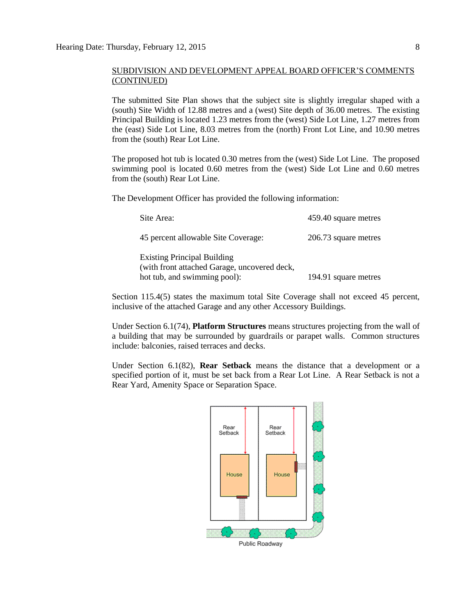#### SUBDIVISION AND DEVELOPMENT APPEAL BOARD OFFICER'S COMMENTS (CONTINUED)

The submitted Site Plan shows that the subject site is slightly irregular shaped with a (south) Site Width of 12.88 metres and a (west) Site depth of 36.00 metres. The existing Principal Building is located 1.23 metres from the (west) Side Lot Line, 1.27 metres from the (east) Side Lot Line, 8.03 metres from the (north) Front Lot Line, and 10.90 metres from the (south) Rear Lot Line.

The proposed hot tub is located 0.30 metres from the (west) Side Lot Line. The proposed swimming pool is located 0.60 metres from the (west) Side Lot Line and 0.60 metres from the (south) Rear Lot Line.

The Development Officer has provided the following information:

| Site Area:                                                                                                         | 459.40 square metres |
|--------------------------------------------------------------------------------------------------------------------|----------------------|
| 45 percent allowable Site Coverage:                                                                                | 206.73 square metres |
| <b>Existing Principal Building</b><br>(with front attached Garage, uncovered deck,<br>hot tub, and swimming pool): | 194.91 square metres |

Section 115.4(5) states the maximum total Site Coverage shall not exceed 45 percent, inclusive of the attached Garage and any other Accessory Buildings.

Under Section 6.1(74), **Platform Structures** means structures projecting from the wall of a building that may be surrounded by guardrails or parapet walls. Common structures include: balconies, raised terraces and decks.

Under Section 6.1(82), **Rear Setback** means the distance that a development or a specified portion of it, must be set back from a Rear Lot Line. A Rear Setback is not a Rear Yard, Amenity Space or Separation Space.

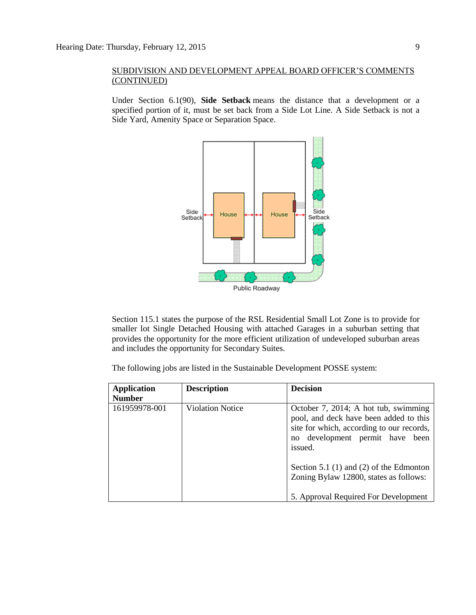#### SUBDIVISION AND DEVELOPMENT APPEAL BOARD OFFICER'S COMMENTS (CONTINUED)

Under Section 6.1(90), **Side Setback** means the distance that a development or a specified portion of it, must be set back from a Side Lot Line. A Side Setback is not a Side Yard, Amenity Space or Separation Space.



Section 115.1 states the purpose of the RSL Residential Small Lot Zone is to provide for smaller lot Single Detached Housing with attached Garages in a suburban setting that provides the opportunity for the more efficient utilization of undeveloped suburban areas and includes the opportunity for Secondary Suites.

The following jobs are listed in the Sustainable Development POSSE system:

| <b>Application</b> | <b>Description</b>      | <b>Decision</b>                                                                                                                                                              |
|--------------------|-------------------------|------------------------------------------------------------------------------------------------------------------------------------------------------------------------------|
| <b>Number</b>      |                         |                                                                                                                                                                              |
| 161959978-001      | <b>Violation Notice</b> | October 7, 2014; A hot tub, swimming<br>pool, and deck have been added to this<br>site for which, according to our records,<br>development permit have been<br>no<br>issued. |
|                    |                         | Section 5.1 $(1)$ and $(2)$ of the Edmonton<br>Zoning Bylaw 12800, states as follows:<br>5. Approval Required For Development                                                |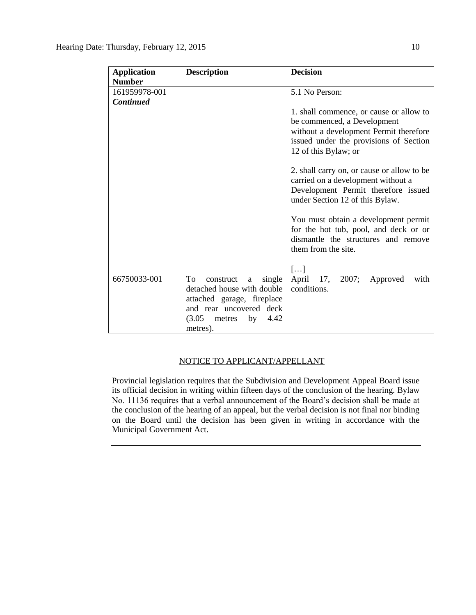| <b>Application</b> | <b>Description</b>                                                                                                                                                  | <b>Decision</b>                                                                                                                                                                    |
|--------------------|---------------------------------------------------------------------------------------------------------------------------------------------------------------------|------------------------------------------------------------------------------------------------------------------------------------------------------------------------------------|
| <b>Number</b>      |                                                                                                                                                                     |                                                                                                                                                                                    |
| 161959978-001      |                                                                                                                                                                     | 5.1 No Person:                                                                                                                                                                     |
| <b>Continued</b>   |                                                                                                                                                                     |                                                                                                                                                                                    |
|                    |                                                                                                                                                                     | 1. shall commence, or cause or allow to<br>be commenced, a Development<br>without a development Permit therefore<br>issued under the provisions of Section<br>12 of this Bylaw; or |
|                    |                                                                                                                                                                     | 2. shall carry on, or cause or allow to be<br>carried on a development without a<br>Development Permit therefore issued<br>under Section 12 of this Bylaw.                         |
|                    |                                                                                                                                                                     | You must obtain a development permit<br>for the hot tub, pool, and deck or or<br>dismantle the structures and remove<br>them from the site.<br>$\left[\ldots\right]$               |
| 66750033-001       | To<br>single<br>construct<br>a<br>detached house with double<br>attached garage, fireplace<br>and rear uncovered deck<br>(3.05)<br>4.42<br>by<br>metres<br>metres). | 17,<br>April<br>2007;<br>with<br>Approved<br>conditions.                                                                                                                           |

### NOTICE TO APPLICANT/APPELLANT

Provincial legislation requires that the Subdivision and Development Appeal Board issue its official decision in writing within fifteen days of the conclusion of the hearing. Bylaw No. 11136 requires that a verbal announcement of the Board's decision shall be made at the conclusion of the hearing of an appeal, but the verbal decision is not final nor binding on the Board until the decision has been given in writing in accordance with the Municipal Government Act.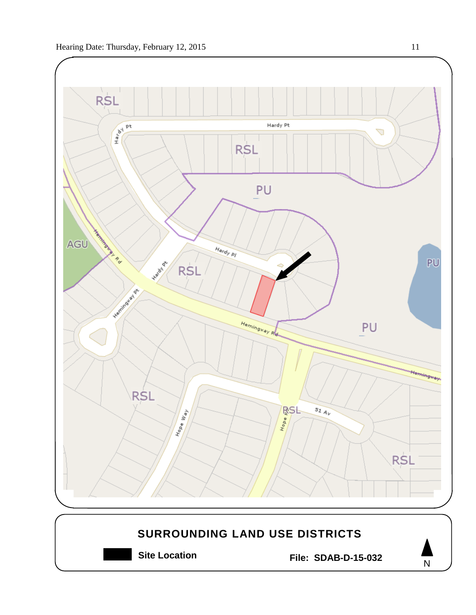

**Site Location File: SDAB-D-15-032**

N